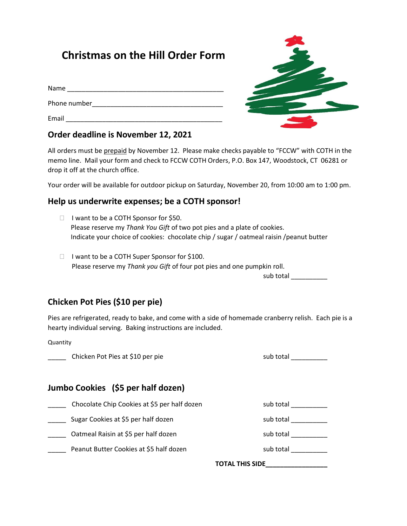# **Christmas on the Hill Order Form**

| Name         |  |
|--------------|--|
| Phone number |  |
| Email        |  |



### **Order deadline is November 12, 2021**

All orders must be prepaid by November 12. Please make checks payable to "FCCW" with COTH in the memo line. Mail your form and check to FCCW COTH Orders, P.O. Box 147, Woodstock, CT 06281 or drop it off at the church office.

Your order will be available for outdoor pickup on Saturday, November 20, from 10:00 am to 1:00 pm.

### **Help us underwrite expenses; be a COTH sponsor!**

- $\Box$  I want to be a COTH Sponsor for \$50. Please reserve my *Thank You Gift* of two pot pies and a plate of cookies. Indicate your choice of cookies: chocolate chip / sugar / oatmeal raisin /peanut butter
- □ I want to be a COTH Super Sponsor for \$100. Please reserve my *Thank you Gift* of four pot pies and one pumpkin roll. sub total \_\_\_\_\_\_\_\_\_\_\_

# **Chicken Pot Pies (\$10 per pie)**

Pies are refrigerated, ready to bake, and come with a side of homemade cranberry relish. Each pie is a hearty individual serving. Baking instructions are included.

Quantity

\_\_\_\_\_ Chicken Pot Pies at \$10 per pie sub total \_\_\_\_\_\_\_\_\_\_

# **Jumbo Cookies (\$5 per half dozen)**

- Chocolate Chip Cookies at \$5 per half dozen sub total sub total sub total change of the sub total change of the
- \_\_\_\_\_ Sugar Cookies at \$5 per half dozen sub total \_\_\_\_\_\_\_\_\_\_
- Oatmeal Raisin at \$5 per half dozen sub sub total sub total sub total sub total sub total sub total sub total sub
- Peanut Butter Cookies at \$5 half dozen sub total sub total graduate and sub total

**TOTAL THIS SIDE\_\_\_\_\_\_\_\_\_\_\_\_\_\_\_\_\_**